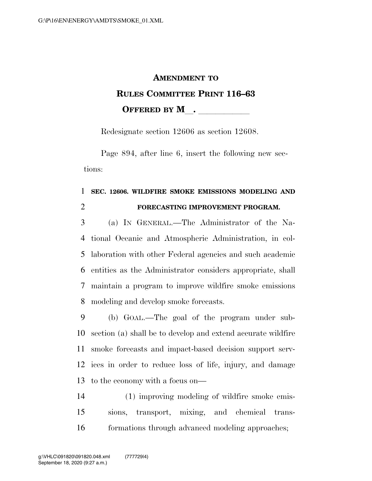## **AMENDMENT TO RULES COMMITTEE PRINT 116–63 OFFERED BY M**.

Redesignate section 12606 as section 12608.

Page 894, after line 6, insert the following new sections:

## **SEC. 12606. WILDFIRE SMOKE EMISSIONS MODELING AND FORECASTING IMPROVEMENT PROGRAM.**

 (a) IN GENERAL.—The Administrator of the Na- tional Oceanic and Atmospheric Administration, in col- laboration with other Federal agencies and such academic entities as the Administrator considers appropriate, shall maintain a program to improve wildfire smoke emissions modeling and develop smoke forecasts.

 (b) GOAL.—The goal of the program under sub- section (a) shall be to develop and extend accurate wildfire smoke forecasts and impact-based decision support serv- ices in order to reduce loss of life, injury, and damage to the economy with a focus on—

 (1) improving modeling of wildfire smoke emis- sions, transport, mixing, and chemical trans-formations through advanced modeling approaches;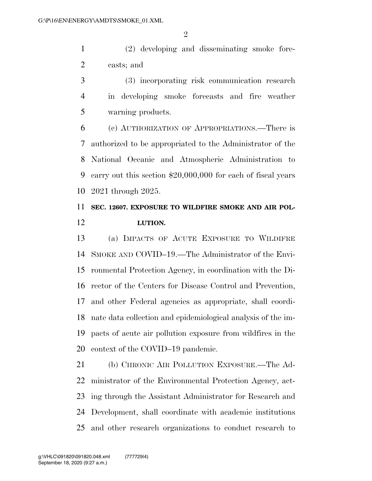(2) developing and disseminating smoke fore-casts; and

 (3) incorporating risk communication research in developing smoke forecasts and fire weather warning products.

 (c) AUTHORIZATION OF APPROPRIATIONS.—There is authorized to be appropriated to the Administrator of the National Oceanic and Atmospheric Administration to carry out this section \$20,000,000 for each of fiscal years 2021 through 2025.

## **SEC. 12607. EXPOSURE TO WILDFIRE SMOKE AND AIR POL-LUTION.**

 (a) IMPACTS OF ACUTE EXPOSURE TO WILDIFRE SMOKE AND COVID–19.—The Administrator of the Envi- ronmental Protection Agency, in coordination with the Di- rector of the Centers for Disease Control and Prevention, and other Federal agencies as appropriate, shall coordi- nate data collection and epidemiological analysis of the im- pacts of acute air pollution exposure from wildfires in the context of the COVID–19 pandemic.

 (b) CHRONIC AIR POLLUTION EXPOSURE.—The Ad- ministrator of the Environmental Protection Agency, act- ing through the Assistant Administrator for Research and Development, shall coordinate with academic institutions and other research organizations to conduct research to